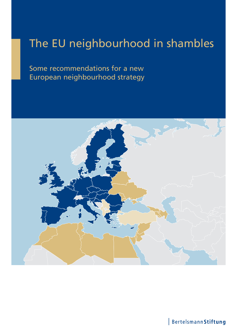# The EU neighbourhood in shambles

Some recommendations for a new European neighbourhood strategy



Bertelsmann Stiftung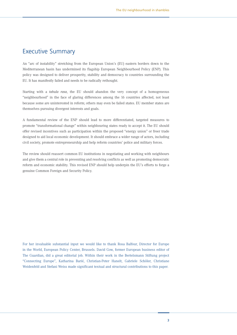# Executive Summary

An "arc of instability" stretching from the European Union's (EU) eastern borders down to the Mediterranean basin has undermined its flagship European Neighbourhood Policy (ENP). This policy was designed to deliver prosperity, stability and democracy to countries surrounding the EU. It has manifestly failed and needs to be radically rethought.

Starting with a *tabula rasa*, the EU should abandon the very concept of a homogeneous "neighbourhood" in the face of glaring differences among the 16 countries affected, not least because some are uninterested in reform; others may even be failed states. EU member states are themselves pursuing divergent interests and goals.

A fundamental review of the ENP should lead to more differentiated, targeted measures to promote "transformational change" within neighbouring states ready to accept it. The EU should offer revised incentives such as participation within the proposed "energy union" or freer trade designed to aid local economic development. It should embrace a wider range of actors, including civil society, promote entrepreneurship and help reform countries' police and military forces.

The review should reassert common EU institutions in negotiating and working with neighbours and give them a central role in preventing and resolving conflicts as well as promoting democratic reform and economic stability. This revised ENP should help underpin the EU's efforts to forge a genuine Common Foreign and Security Policy.

For her invaluable substantial input we would like to thank Rosa Balfour, Director for Europe in the World, European Policy Center, Brussels. David Gow, former European business editor of The Guardian, did a great editorial job. Within their work in the Bertelsmann Stiftung project "Connecting Europe", Katharina Barié, Christian-Peter Hanelt, Gabriele Schöler, Christiane Weidenfeld and Stefani Weiss made significant textual and structural contributions to this paper.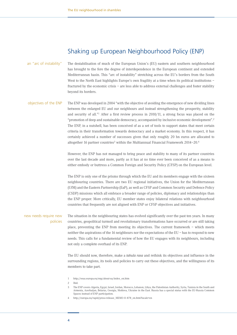# Shaking up European Neighbourhood Policy (ENP)

| an "arc of instability"           | The destabilisation of much of the European Union's (EU) eastern and southern neighbourhood<br>has brought to the fore the degree of interdependence in the European continent and extended<br>Mediterranean basin. This "arc of instability" stretching across the EU's borders from the South<br>West to the North East highlights Europe's own fragility at a time when its political institutions -<br>fractured by the economic crisis - are less able to address external challenges and foster stability<br>beyond its borders.                                                                                                                                                                                                                                                                                                                            |
|-----------------------------------|-------------------------------------------------------------------------------------------------------------------------------------------------------------------------------------------------------------------------------------------------------------------------------------------------------------------------------------------------------------------------------------------------------------------------------------------------------------------------------------------------------------------------------------------------------------------------------------------------------------------------------------------------------------------------------------------------------------------------------------------------------------------------------------------------------------------------------------------------------------------|
| objectives of the ENP             | The ENP was developed in 2004 "with the objective of avoiding the emergence of new dividing lines<br>between the enlarged EU and our neighbours and instead strengthening the prosperity, stability<br>and security of all." <sup>1</sup> After a first review process in $2010/11$ , a strong focus was placed on the<br>"promotion of deep and sustainable democracy, accompanied by inclusive economic development". <sup>2</sup><br>The ENP, in a nutshell, has been conceived of as a set of tools to support states that meet certain<br>criteria in their transformation towards democracy and a market economy. In this respect, it has<br>certainly achieved a number of successes given that only roughly 20 bn euros are allocated to<br>altogether 16 partner countries <sup>3</sup> within the Multiannual Financial Framework 2014-20. <sup>4</sup> |
|                                   | However, the ENP has not managed to bring peace and stability to many of its partner countries<br>over the last decade and more, partly as it has at no time ever been conceived of as a means to<br>either embody or buttress a Common Foreign and Security Policy (CFSP) on the European level.                                                                                                                                                                                                                                                                                                                                                                                                                                                                                                                                                                 |
|                                   | The ENP is only one of the prisms through which the EU and its members engage with the sixteen<br>neighbouring countries. There are two EU regional initiatives, the Union for the Mediterranean<br>(UfM) and the Eastern Partnership (EaP), as well as CFSP and Common Security and Defence Policy<br>(CSDP) missions which all embrace a broader range of policies, diplomacy and relationships than<br>the ENP proper. More critically, EU member states enjoy bilateral relations with neighbourhood<br>countries that frequently are not aligned with ENP or CFSP objectives and initiatives.                                                                                                                                                                                                                                                                |
| new needs require new<br>policies | The situation in the neighbouring states has evolved significantly over the past ten years. In many<br>countries, geopolitical turmoil and revolutionary transformations have occurred or are still taking<br>place, preventing the ENP from meeting its objectives. The current framework - which meets<br>neither the aspirations of the 16 neighbours nor the expectations of the EU - has to respond to new<br>needs. This calls for a fundamental review of how the EU engages with its neighbours, including<br>not only a complete overhaul of its ENP.                                                                                                                                                                                                                                                                                                    |
|                                   | The EU should now, therefore, make a <i>tabula rasa</i> and rethink its objectives and influence in the<br>surrounding regions, its tools and policies to carry out these objectives, and the willingness of its<br>members to take part.                                                                                                                                                                                                                                                                                                                                                                                                                                                                                                                                                                                                                         |
|                                   | http://eeas.europa.eu/enp/about-us/index_en.htm<br>1<br>2<br>Ibid.<br>3<br>The ENP covers Algeria, Egypt, Israel, Jordan, Morocco, Lebanon, Libya, the Palestinian Authority, Syria, Tunisia in the South and                                                                                                                                                                                                                                                                                                                                                                                                                                                                                                                                                                                                                                                     |

- Armenia, Azerbaijan, Belarus, Georgia, Moldova, Ukraine in the East. Russia has a special status with the EU-Russia Common Spaces instead of ENP participation.
- 4 http://europa.eu/rapid/press-release\_MEMO-11-878\_en.htm?locale=en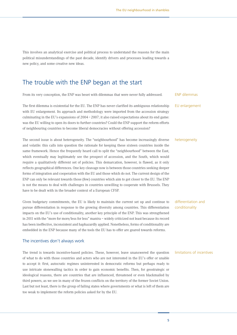This involves an analytical exercise and political process to understand the reasons for the main political misunderstandings of the past decade, identify drivers and processes leading towards a new policy, and some creative new ideas.

# The trouble with the ENP began at the start

From its very conception, the ENP was beset with dilemmas that were never fully addressed.

The first dilemma is existential for the EU. The ENP has never clarified its ambiguous relationship with EU enlargement. Its approach and methodology were imported from the accession strategy culminating in the EU's expansions of  $2004 - 2007$ ; it also raised expectations about its end game: was the EU willing to open its doors to further countries? Could the ENP support the reform efforts of neighbouring countries to become liberal democracies without offering accession?

### The second issue is about heterogeneity. The "neighbourhood" has become increasingly diverse and volatile: this calls into question the rationale for keeping these sixteen countries inside the same framework. Hence the frequently heard call to split the "neighbourhood" between the East, which eventually may legitimately see the prospect of accession, and the South, which would require a qualitatively different set of policies. This demarcation, however, is flawed, as it only reflects geographical differences. One key cleavage now is between those countries seeking deeper forms of integration and cooperation with the EU and those which do not. The current design of the ENP can only be relevant towards those (few) countries which aim to get closer to the EU. The ENP is not the means to deal with challenges in countries unwilling to cooperate with Brussels. They have to be dealt with in the broader context of a European CFSP.

Given budgetary commitments, the EU is likely to maintain the current set up and continue to pursue differentiation in response to the growing diversity among countries. This differentiation impacts on the EU's use of conditionality, another key principle of the ENP. This was strengthened in 2011 with the "more for more/less for less" mantra – widely criticized not least because its record has been ineffective, inconsistent and haphazardly applied. Nonetheless, forms of conditionality are embedded in the ENP because many of the tools the EU has to offer are geared towards reforms.

#### The incentives don't always work

The trend is towards incentive-based policies. These, however, leave unanswered the question of what to do with those countries and actors who are not interested in the EU's offer or unable to accept it: first, autocratic regimes uninterested in democratic reforms but perhaps ready to use intricate stonewalling tactics in order to gain economic benefits. Then, for geostrategic or ideological reasons, there are countries that are influenced, threatened or even blackmailed by third powers, as we see in many of the frozen conflicts on the territory of the former Soviet Union. Last but not least, there is the group of failing states where governments or what is left of them are too weak to implement the reform policies asked for by the EU.

ENP dilemmas

EU enlargement

#### heterogeneity

#### differentiation and conditionality

#### limitations of incentives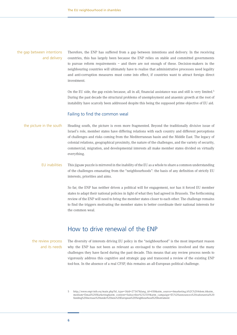#### the gap between intentions and delivery

Therefore, the ENP has suffered from a gap between intentions and delivery. In the receiving countries, this has largely been because the ENP relies on stable and committed governments to pursue reform requirements – and there are not enough of these. Decision-makers in the neighbouring countries will ultimately have to realise that administrative processes need legality and anti-corruption measures must come into effect, if countries want to attract foreign direct investment.

On the EU side, the gap exists because, all in all, financial assistance was and still is very limited.5 During the past decade the structural problems of unemployment and anaemic growth at the root of instability have scarcely been addressed despite this being the supposed prime objective of EU aid.

#### Failing to find the common weal

Heading south, the picture is even more fragmented. Beyond the traditionally divisive issue of Israel's role, member states have differing relations with each country and different perceptions of challenges and risks coming from the Mediterranean basin and the Middle East. The legacy of colonial relations, geographical proximity, the nature of the challenges, and the variety of security, commercial, migration, and developmental interests all make member states divided on virtually everything. the picture in the south

#### This jigsaw puzzle is mirrored in the inability of the EU as a whole to share a common understanding of the challenges emanating from the "neighbourhoods": the basis of any definition of strictly EU interests, priorities and aims. EU inabilities

So far, the ENP has neither driven a political will for engagement, nor has it forced EU member states to adapt their national policies in light of what they had agreed in Brussels. The forthcoming review of the ENP will need to bring the member states closer to each other. The challenge remains to find the triggers motivating the member states to better coordinate their national interests for the common weal.

## How to drive renewal of the ENP

#### the review process and its needs

The diversity of interests driving EU policy in the "neighbourhood" is the most important reason why the ENP has not been as relevant as envisaged to the countries involved and the many challenges they have faced during the past decade. This means that any review process needs to vigorously address this cognitive and strategic gap and transcend a review of the existing ENP tool-box. In the absence of a real CFSP, this remains an all-European political challenge.

5 http://www.enpi-info.eu/main.php?id\_type=1&id=27347&lang\_id=450&utm\_source=4marketing.it%2C%204dem.it&utm\_ medium=Email%20Marketing&utm\_content=Subscriber%232319&utm\_campaign=EU%20announces%20substantial%20 funding%20increase%20under%20new%20European%20Neighbourhood%20Instrument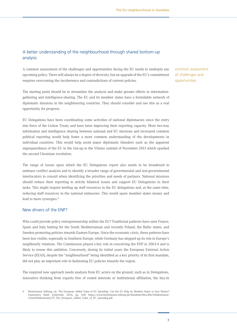### A better understanding of the neighbourhood through shared bottom-up analysis

A common assessment of the challenges and opportunities facing the EU needs to underpin any upcoming policy. There will always be a degree of diversity, but an upgrade of the EU's commitment requires overcoming the incoherence and contradictions of current policies.

The starting point should be to streamline the analysis and make greater efforts in informationgathering and intelligence-sharing. The EU and its member states have a formidable network of diplomatic missions in the neighbouring countries. They should consider and use this as a real opportunity for progress.

EU Delegations have been coordinating some activities of national diplomacies since the entry into force of the Lisbon Treaty and have been improving their reporting capacity. More two-way information and intelligence sharing between national and EU missions and increased common political reporting would help foster a more common understanding of the developments in individual countries. This would help avoid major diplomatic blunders such as the apparent unpreparedness of the EU in the run-up to the Vilnius summit of November 2013 which sparked the second Ukrainian revolution.

The range of issues upon which the EU Delegations report also needs to be broadened to embrace conflict analysis and to identify a broader range of governmental and non-governmental interlocutors to consult when identifying the priorities and needs of partners. National missions should reduce their reporting to strictly bilateral issues and support EU Delegations in their tasks. This might require beefing up staff resources in the EU delegations and, at the same time, reducing staff resources in the national embassies. This would spare member states money and lead to more synergies.<sup>6</sup>

#### New drivers of the ENP?

Who could provide policy entrepreneurship within the EU? Traditional patterns have seen France, Spain and Italy batting for the South Mediterranean and recently Poland, the Baltic states, and Sweden promoting policies towards Eastern Europe. Since the economic crisis, these patterns have been less visible, especially in Southern Europe, while Germany has stepped up its role in Europe's neighbourly relations. The Commission played a key role in conceiving the ENP in 2003-4 and is likely to renew this ambition. Conversely, during its initial years the European External Action Service (EEAS), despite the "neighbourhood" being identified as a key priority of its first mandate, did not play an important role in fashioning EU policies towards the region.

The required new approach needs analysis from EU actors on the ground, such as in Delegations, innovative thinking from experts free of vested interests or institutional affiliation, the buy-in common assessment of challenges and opportunities

<sup>6</sup> Bertelsmann Stiftung, ed., The European Added Value of EU Spending: Can the EU Help its Member States to Save Money? Exploratory Study (Gütersloh, 2013), pp. 56ff; https://www.bertelsmann-stiftung.de/fileadmin/files/BSt/Publikationen/ GrauePublikationen/GP\_The\_European\_Added\_Value\_of\_EU\_Spending.pdf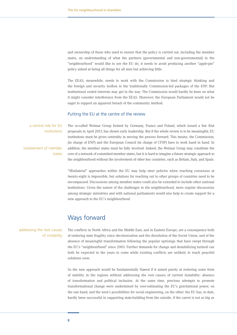and ownership of those who need to ensure that the policy is carried out, including the member states, an understanding of what the partners (governmental and non-governmental) in the "neighbourhood" would like to see the EU do; it needs to avoid producing another "apple-pie" policy aimed at being all things for all men but achieving little.

The EEAS, meanwhile, needs to work with the Commission to bind strategic thinking and the foreign and security toolbox to the traditionally Commission-led packages of the ENP. But institutional vested interests may get in the way: The Commission would hardly be keen on what it might consider interference from the EEAS. Moreover, the European Parliament would not be eager to support an apparent breach of the community method.

#### Putting the EU at the centre of the review

a central role for EU institutions

involvement of member states The so-called Weimar Group formed by Germany, France and Poland, which issued a few first proposals in April 2013, has shown early leadership. But if the whole review is to be meaningful, EU institutions must be given centrality in moving the process forward. This means, the Commission, (in charge of ENP) and the European Council (in charge of CFSP) have to work hand in hand. In addition, the member states must be fully involved. Indeed, the Weimar Group may constitute the core of a network of committed member states, but it is hard to imagine a future strategic approach to the neighbourhood without the involvement of other key countries, such as Britain, Italy, and Spain.

"Minilateral" approaches within the EU may help steer policies when reaching consensus at twenty-eight is impossible, but solutions for reaching out to other groups of countries need to be encompassed. Discussions among member states could also be extended to include other national institutions. Given the nature of the challenges in the neighbourhood, more regular discussions among strategic ministries and with national parliaments would also help to create support for a new approach to the EU's neighbourhood.

# Ways forward

#### addressing the root causes of instability

The conflicts in North Africa and the Middle East, and in Eastern Europe, are a consequence both of enduring state fragility since decolonization and the dissolution of the Soviet Union, and of the absence of meaningful transformation following the popular uprisings that have swept through the EU's "neighbourhood" since 2003. Further demands for change and destabilizing turmoil can both be expected in the years to come while existing conflicts are unlikely to reach peaceful solutions soon.

So the new approach would be fundamentally flawed if it aimed purely at restoring some form of stability in the regions without addressing the root causes of current instability: absence of transformation and political inclusion. At the same time, previous attempts to promote transformational change were undermined by over-estimating the EU's gravitational power, on the one hand, and the west's possibilities for social engineering, on the other: the EU has, to date, hardly been successful in supporting state-building from the outside, if the carrot is not as big as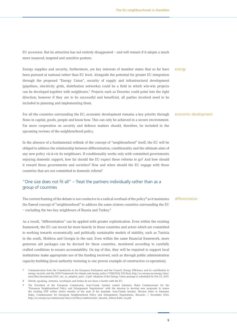EU accession. But its attraction has not entirely disappeared – and will remain if it adopts a much more nuanced, targeted and sensitive posture.

Energy supplies and security, furthermore, are key interests of member states that so far have been pursued at national rather than EU level. Alongside the potential for greater EU integration through the proposed "Energy Union", security of supply and infrastructural development (pipelines, electricity grids, distribution networks) could be a field in which win-win projects can be developed together with neighbours.7 Projects such as Desertec could point into the right direction; however if they are to be successful and beneficial, all parties involved need to be included in planning and implementing them.

For all the countries surrounding the EU, economic development remains a key priority through flows in capital, goods, people and know-how. This can only be achieved in a secure environment. Far more cooperation on security and defence matters should, therefore, be included in the upcoming reviews of the neighbourhood policy.

In the absence of a fundamental rethink of the concept of "neighbourhood" itself, the EU will be obliged to address the relationship between differentiation, conditionality and the ultimate aims of any new policy vis-à-vis its neighbours. If conditionality works only with committed governments enjoying domestic support, how far should the EU expect these reforms to go? And how should it reward these governments and societies? How and when should the EU engage with those countries that are not committed to domestic reform?

### "One size does not fit all" – Treat the partners individually rather than as a group of countries

The current framing of the debate is not conducive to a radical overhaul of the policy<sup>8</sup> as it maintains the flawed concept of "neighbourhood" to address the same sixteen countries surrounding the EU – excluding the two key neighbours of Russia and Turkey.9

As a result, "differentiation" can be applied with greater sophistication. Even within the existing framework, the EU can invest far more heavily in those countries and actors which are committed to working towards economically and politically sustainable models of stability, such as Tunisia in the south, Moldova and Georgia in the east. Even within the same financial framework, more generous aid packages can be devised for these countries, monitored according to carefully crafted conditions to ensure accountability. On top of this, they will be required to support local institutions make appropriate use of the funding received, such as through public administration capacity-building (local authority twinning is one proven example of constructive co-operation).

energy

economic development

#### differentiation

<sup>7</sup> Communication from the Commission to the European Parliament and the Council, Energy Efficiency and its contribution to energy security and the 2030 Framework for climate and energy policy COM(2014) 520 final; http://ec.europa.eu/energy/sites/ ener/files/documents/2014\_eec\_ia\_adopted\_part1\_0.pdf. Adoption of the Energy Union package is scheduled for Feb 25, 2015.

<sup>8</sup> Strictly speaking, Armenia, Azerbaijan and Jordan do not share a border with the EU.

<sup>9</sup> The President of the European Commission, Jean-Claude Juncker tasked Johannes Hahn Commissioner for the "European Neighbourhood Policy and Enlargement Negotiations' with the mission to develop new proposals to renew the existing ENP within twelve months of the start of his mandate. Jean-Claude Juncker, Mission letter to Johannes Hahn, Commissioner for European Neighbourhood Policy and Enlargement Negotiations, Brussels: 1 November 2014, http://ec.europa.eu/commission/sites/cwt/files/commissioner\_mission\_letters/hahn\_en.pdf.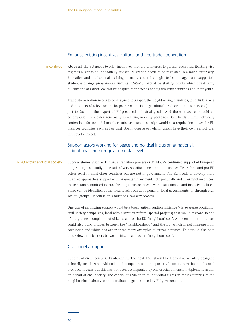#### Enhance existing incentives: cultural and free-trade cooperation

Above all, the EU needs to offer incentives that are of interest to partner countries. Existing visa regimes ought to be individually revised. Migration needs to be regulated in a much fairer way. Education and professional training in many countries ought to be managed and supported; student exchange programmes such as ERASMUS would be starting points which could fairly quickly and at rather low cost be adapted to the needs of neighbouring countries and their youth. incentives

> Trade liberalization needs to be designed to support the neighbouring countries, to include goods and products of relevance to the poorer countries (agricultural products, textiles, services), not just to facilitate the export of EU-produced industrial goods. And these measures should be accompanied by greater generosity in offering mobility packages. Both fields remain politically contentious for some EU member states as such a redesign would also require incentives for EU member countries such as Portugal, Spain, Greece or Poland, which have their own agricultural markets to protect.

#### Support actors working for peace and political inclusion at national, subnational and non-governmental level

Success stories, such as Tunisia's transition process or Moldova's continued support of European integration, are usually the result of very specific domestic circumstances. Pro-reform and pro-EU actors exist in most other countries but are not in government. The EU needs to develop more nuanced approaches: support with far greater investment, both politically and in terms of resources, those actors committed to transforming their societies towards sustainable and inclusive polities. Some can be identified at the local level, such as regional or local governments, or through civil society groups. Of course, this must be a two-way process. NGO actors and civil society

> One way of mobilizing support would be a broad anti-corruption initiative (via awareness-building, civil society campaigns, local administration reform, special projects) that would respond to one of the greatest complaints of citizens across the EU "neighbourhood". Anti-corruption initiatives could also build bridges between the "neighbourhood" and the EU, which is not immune from corruption and which has experienced many examples of citizen activism. This would also help break down the barriers between citizens across the "neighbourhood".

#### Civil society support

Support of civil society is fundamental. The next ENP should be framed as a policy designed primarily for citizens. Aid tools and competences to support civil society have been enhanced over recent years but this has not been accompanied by one crucial dimension: diplomatic action on behalf of civil society. The continuous violation of individual rights in most countries of the neighbourhood simply cannot continue to go unnoticed by EU governments.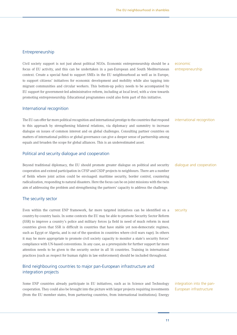#### Entrepreneurship

Civil society support is not just about political NGOs. Economic entrepreneurship should be a focus of EU activity, and this can be undertaken in a pan-European and South Mediterranean context. Create a special fund to support SMEs in the EU neighbourhood as well as in Europe, to support citizens' initiatives for economic development and mobility while also tapping into migrant communities and circular workers. This bottom-up policy needs to be accompanied by EU support for government-led administrative reform, including at local level, with a view towards promoting entrepreneurship. Educational programmes could also form part of this initiative.

#### International recognition

The EU can offer far more political recognition and international prestige to the countries that respond to this approach by strengthening bilateral relations, via diplomacy and summitry to increase dialogue on issues of common interest and on global challenges. Consulting partner countries on matters of international politics or global governance can give a deeper sense of partnership among equals and broaden the scope for global alliances. This is an underestimated asset.

#### Political and security dialogue and cooperation

Beyond traditional diplomacy, the EU should promote greater dialogue on political and security cooperation and extend participation in CFSP and CSDP projects to neighbours. There are a number of fields where joint action could be envisaged: maritime security, border control, countering radicalization, responding to natural disasters. Here the focus can be on joint missions with the twin aim of addressing the problem and strengthening the partners' capacity to address the challenge.

#### The security sector

Even within the current ENP framework, far more targeted initiatives can be identified on a country-by-country basis. In some contexts the EU may be able to promote Security Sector Reform (SSR) to improve a country's police and military forces (a field in need of much reform in most countries given that SSR is difficult in countries that have stable yet non-democratic regimes, such as Egypt or Algeria, and is out of the question in countries where civil wars rage). In others it may be more appropriate to promote civil society capacity to monitor a state's security forces' compliance with UN-based conventions. In any case, as a prerequisite for further support far more attention needs to be given to the security sector in all 16 countries. Training in international practices (such as respect for human rights in law enforcement) should be included throughout.

#### Bind neighbouring countries to major pan-European infrastructure and integration projects

Some ENP countries already participate in EU initiatives, such as in Science and Technology cooperation. They could also be brought into the picture with larger projects requiring investments (from the EU member states, from partnering countries, from international institutions). Energy

#### economic entrepreneurship

#### international recognition

#### dialogue and cooperation

#### security

integration into the pan-European infrastructure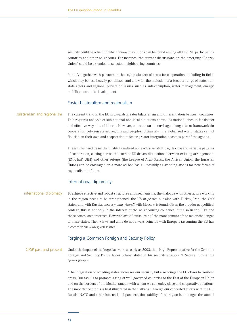security could be a field in which win-win solutions can be found among all EU/ENP participating countries and other neighbours. For instance, the current discussions on the emerging "Energy Union" could be extended to selected neighbouring countries.

Identify together with partners in the region clusters of areas for cooperation, including in fields which may be less heavily politicized, and allow for the inclusion of a broader range of state, nonstate actors and regional players on issues such as anti-corruption, water management, energy, mobility, economic development.

#### Foster bilateralism and regionalism

The current trend in the EU is towards greater bilateralism and differentiation between countries. This requires analysis of sub-national and local situations as well as national ones in far deeper and effective ways than hitherto. However, one can start to envisage a longer-term framework for cooperation between states, regions and peoples. Ultimately, in a globalized world, states cannot flourish on their own and cooperation to foster greater integration becomes part of the agenda. bilateralism and regionalism

> These links need be neither institutionalized nor exclusive. Multiple, flexible and variable patterns of cooperation, cutting across the current EU-driven distinctions between existing arrangements (ENP, EaP, UfM) and other set-ups (the League of Arab States, the African Union, the Eurasian Union) can be envisaged on a more ad hoc basis – possibly as stepping stones for new forms of regionalism in future.

#### International diplomacy

#### To achieve effective and robust structures and mechanisms, the dialogue with other actors working in the region needs to be strengthened, the US *in primis*, but also with Turkey, Iran, the Gulf states, and with Russia, once a *modus vivendi* with Moscow is found. Given the broader geopolitical context, this is not only in the interest of the neighbouring countries, but also in the EU's and those actors' own interests. However, avoid "outsourcing" the management of the major challenges to these states. Their views and aims do not always coincide with Europe's (assuming the EU has a common view on given issues). international diplomacy

#### Forging a Common Foreign and Security Policy

Under the impact of the Yugoslav wars, as early as 2003, then High Representative for the Common Foreign and Security Policy, Javier Solana, stated in his security strategy "A Secure Europe in a Better World": CFSP past and present

> "The integration of acceding states increases our security but also brings the EU closer to troubled areas. Our task is to promote a ring of well-governed countries to the East of the European Union and on the borders of the Mediterranean with whom we can enjoy close and cooperative relations. The importance of this is best illustrated in the Balkans. Through our concerted efforts with the US, Russia, NATO and other international partners, the stability of the region is no longer threatened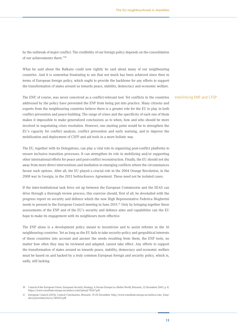by the outbreak of major conflict. The credibility of our foreign policy depends on the consolidation of our achievements there."10

What he said about the Balkans could now rightly be said about many of our neighbouring countries. And it is somewhat frustrating to see that not much has been achieved since then in terms of European foreign policy, which ought to provide the backbone for any efforts to support the transformation of states around us towards peace, stability, democracy and economic welfare.

The ENP, of course, was never conceived as a conflict-relevant tool. Yet conflicts in the countries addressed by the policy have prevented the ENP from being put into practice. Many citizens and experts from the neighbouring countries believe there is a greater role for the EU to play in both conflict prevention and peace-building. The range of crises and the specificity of each one of them makes it impossible to make generalized conclusions as to when, how and who should be more involved in negotiating crisis resolution. However, one starting point would be to strengthen the EU's capacity for conflict analysis, conflict prevention and early warning, and to improve the mobilization and deployment of CSFP and aid tools in a more holistic way.

The EU, together with its Delegations, can play a vital role in organizing post-conflict platforms to ensure inclusive transition processes. It can strengthen its role in mobilizing and/or supporting other international efforts for peace and post-conflict reconstruction. Finally, the EU should not shy away from more direct interventions and mediation in emerging conflicts where the circumstances favour such options. After all, the EU played a crucial role in the 2004 Orange Revolution, in the 2008 war in Georgia, in the 2013 Serbia-Kosovo Agreement. These need not be isolated cases.

If the inter-institutional task force set up between the European Commission and the EEAS can drive through a thorough review process, this exercise should, first of all, be dovetailed with the progress report on security and defence which the new High Representative Federica Mogherini needs to present to the European Council meeting in June 2015.11 Only by bringing together these assessments of the ENP and of the EU's security and defence aims and capabilities can the EU hope to make its engagement with its neighbours more effective.

The ENP alone is a development policy meant to incentivise and to assist reforms in the 16 neighbouring countries. Yet as long as the EU fails to take security-policy and geopolitical interests of these countries into account and answer the needs resulting from them, the ENP tools, no matter how often they may be reviewed and adapted, cannot take effect. Any efforts to support the transformation of states around us towards peace, stability, democracy and economic welfare must be based on and backed by a truly common European foreign and security policy, which is, sadly, still lacking.

#### Interlinking ENP and CFSP

<sup>10</sup> Council of the European Union, European Security Strategy, A Secure Europe in a Better World, Brussels, 12 December 2003, p. 8, https://www.consilium.europa.eu/uedocs/cmsUpload/78367.pdf

<sup>11</sup> European Council (2013), Council Conclusions, Brussels: 19-20 December, http://www.consilium.europa.eu/uedocs/cms\_Data/ docs/pressdata/en/ec/140245.pdf.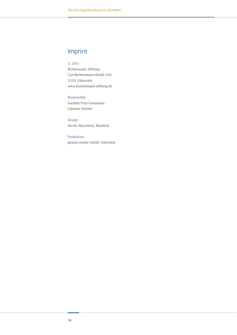# Imprint

#### © 2015

Bertelsmann Stiftung Carl-Bertelsmann-Straße 256 33311 Gütersloh www.bertelsmann-stiftung.de

#### Responsible

Joachim Fritz-Vannahme Gabriele Schöler

Design Nicole Meyerholz, Bielefeld

#### Production

gemini media GmbH, Gütersloh